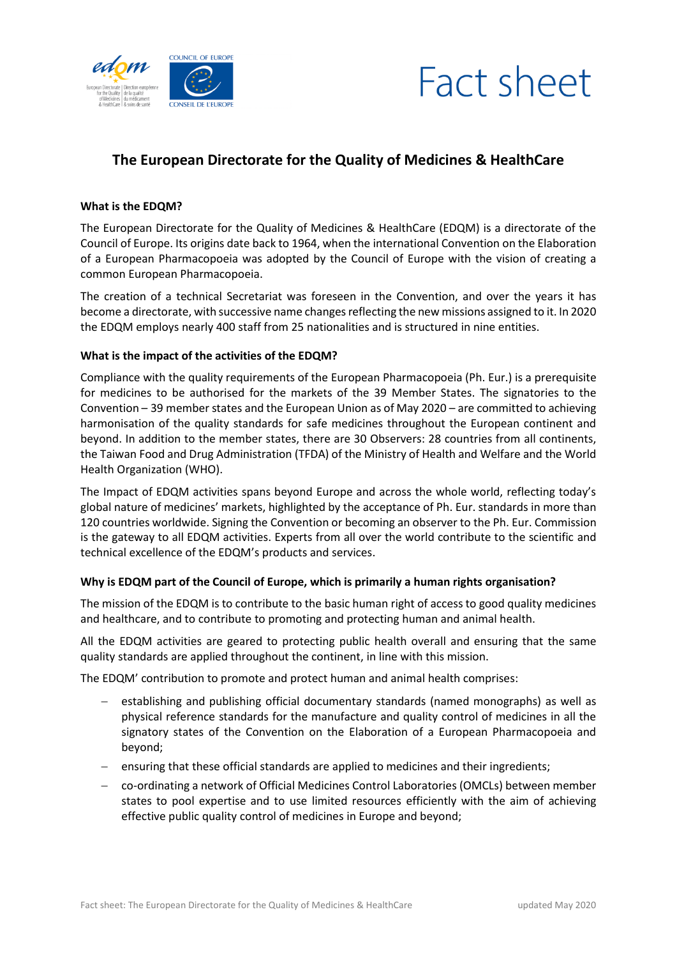



# **The European Directorate for the Quality of Medicines & HealthCare**

#### **What is the EDQM?**

The European Directorate for the Quality of Medicines & HealthCare (EDQM) is a directorate of the Council of Europe. Its origins date back to 1964, when the international Convention on the Elaboration of a European Pharmacopoeia was adopted by the Council of Europe with the vision of creating a common European Pharmacopoeia.

The creation of a technical Secretariat was foreseen in the Convention, and over the years it has become a directorate, with successive name changes reflecting the new missions assigned to it. In 2020 the EDQM employs nearly 400 staff from 25 nationalities and is structured in nine entities.

#### **What is the impact of the activities of the EDQM?**

Compliance with the quality requirements of the European Pharmacopoeia (Ph. Eur.) is a prerequisite for medicines to be authorised for the markets of the 39 Member States. The signatories to the Convention – 39 member states and the European Union as of May 2020 – are committed to achieving harmonisation of the quality standards for safe medicines throughout the European continent and beyond. In addition to the member states, there are 30 Observers: 28 countries from all continents, the Taiwan Food and Drug Administration (TFDA) of the Ministry of Health and Welfare and the World Health Organization (WHO).

The Impact of EDQM activities spans beyond Europe and across the whole world, reflecting today's global nature of medicines' markets, highlighted by the acceptance of Ph. Eur. standards in more than 120 countries worldwide. Signing the Convention or becoming an observer to the Ph. Eur. Commission is the gateway to all EDQM activities. Experts from all over the world contribute to the scientific and technical excellence of the EDQM's products and services.

## **Why is EDQM part of the Council of Europe, which is primarily a human rights organisation?**

The mission of the EDQM is to contribute to the basic human right of access to good quality medicines and healthcare, and to contribute to promoting and protecting human and animal health.

All the EDQM activities are geared to protecting public health overall and ensuring that the same quality standards are applied throughout the continent, in line with this mission.

The EDQM' contribution to promote and protect human and animal health comprises:

- establishing and publishing official documentary standards (named monographs) as well as physical reference standards for the manufacture and quality control of medicines in all the signatory states of the Convention on the Elaboration of a European Pharmacopoeia and beyond;
- $-$  ensuring that these official standards are applied to medicines and their ingredients;
- co-ordinating a network of Official Medicines Control Laboratories (OMCLs) between member states to pool expertise and to use limited resources efficiently with the aim of achieving effective public quality control of medicines in Europe and beyond;